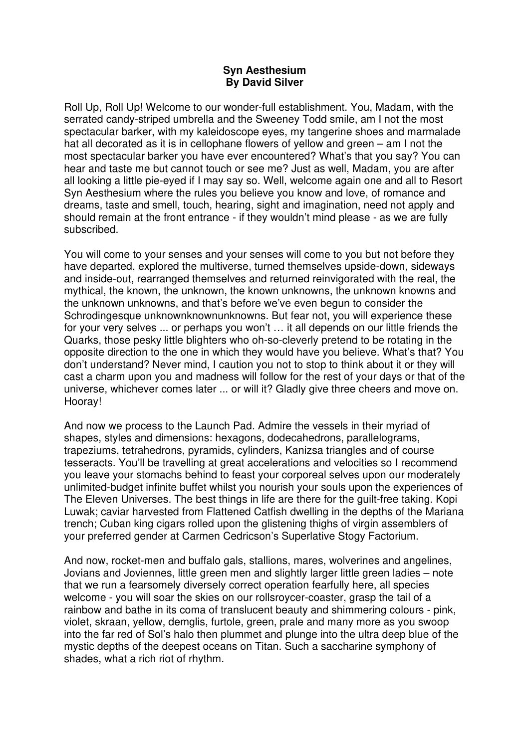## **Syn Aesthesium By David Silver**

Roll Up, Roll Up! Welcome to our wonder-full establishment. You, Madam, with the serrated candy-striped umbrella and the Sweeney Todd smile, am I not the most spectacular barker, with my kaleidoscope eyes, my tangerine shoes and marmalade hat all decorated as it is in cellophane flowers of yellow and green – am I not the most spectacular barker you have ever encountered? What's that you say? You can hear and taste me but cannot touch or see me? Just as well, Madam, you are after all looking a little pie-eyed if I may say so. Well, welcome again one and all to Resort Syn Aesthesium where the rules you believe you know and love, of romance and dreams, taste and smell, touch, hearing, sight and imagination, need not apply and should remain at the front entrance - if they wouldn't mind please - as we are fully subscribed.

You will come to your senses and your senses will come to you but not before they have departed, explored the multiverse, turned themselves upside-down, sideways and inside-out, rearranged themselves and returned reinvigorated with the real, the mythical, the known, the unknown, the known unknowns, the unknown knowns and the unknown unknowns, and that's before we've even begun to consider the Schrodingesque unknownknownunknowns. But fear not, you will experience these for your very selves ... or perhaps you won't … it all depends on our little friends the Quarks, those pesky little blighters who oh-so-cleverly pretend to be rotating in the opposite direction to the one in which they would have you believe. What's that? You don't understand? Never mind, I caution you not to stop to think about it or they will cast a charm upon you and madness will follow for the rest of your days or that of the universe, whichever comes later ... or will it? Gladly give three cheers and move on. Hooray!

And now we process to the Launch Pad. Admire the vessels in their myriad of shapes, styles and dimensions: hexagons, dodecahedrons, parallelograms, trapeziums, tetrahedrons, pyramids, cylinders, Kanizsa triangles and of course tesseracts. You'll be travelling at great accelerations and velocities so I recommend you leave your stomachs behind to feast your corporeal selves upon our moderately unlimited-budget infinite buffet whilst you nourish your souls upon the experiences of The Eleven Universes. The best things in life are there for the guilt-free taking. Kopi Luwak; caviar harvested from Flattened Catfish dwelling in the depths of the Mariana trench; Cuban king cigars rolled upon the glistening thighs of virgin assemblers of your preferred gender at Carmen Cedricson's Superlative Stogy Factorium.

And now, rocket-men and buffalo gals, stallions, mares, wolverines and angelines, Jovians and Joviennes, little green men and slightly larger little green ladies – note that we run a fearsomely diversely correct operation fearfully here, all species welcome - you will soar the skies on our rollsroycer-coaster, grasp the tail of a rainbow and bathe in its coma of translucent beauty and shimmering colours - pink, violet, skraan, yellow, demglis, furtole, green, prale and many more as you swoop into the far red of Sol's halo then plummet and plunge into the ultra deep blue of the mystic depths of the deepest oceans on Titan. Such a saccharine symphony of shades, what a rich riot of rhythm.